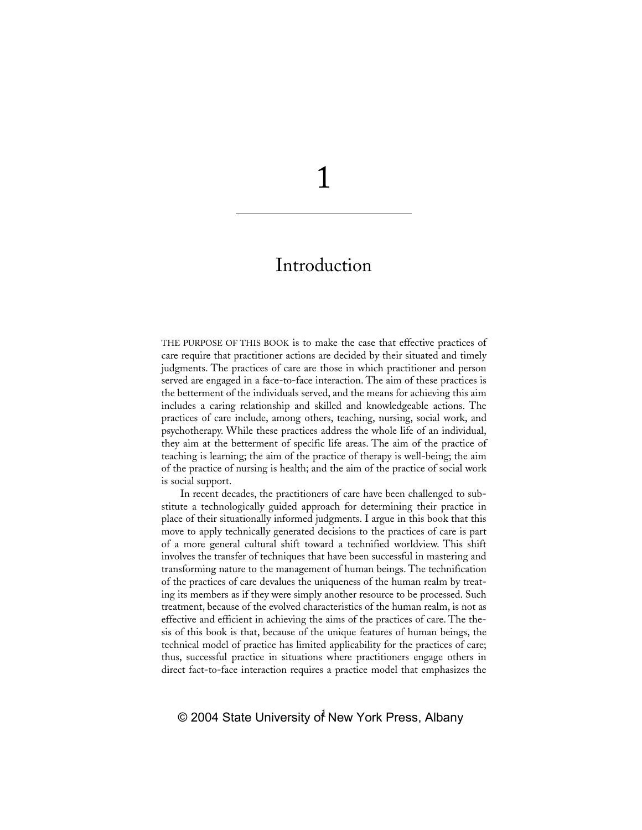# Introduction

THE PURPOSE OF THIS BOOK is to make the case that effective practices of care require that practitioner actions are decided by their situated and timely judgments. The practices of care are those in which practitioner and person served are engaged in a face-to-face interaction. The aim of these practices is the betterment of the individuals served, and the means for achieving this aim includes a caring relationship and skilled and knowledgeable actions. The practices of care include, among others, teaching, nursing, social work, and psychotherapy. While these practices address the whole life of an individual, they aim at the betterment of specific life areas. The aim of the practice of teaching is learning; the aim of the practice of therapy is well-being; the aim of the practice of nursing is health; and the aim of the practice of social work is social support.

In recent decades, the practitioners of care have been challenged to substitute a technologically guided approach for determining their practice in place of their situationally informed judgments. I argue in this book that this move to apply technically generated decisions to the practices of care is part of a more general cultural shift toward a technified worldview. This shift involves the transfer of techniques that have been successful in mastering and transforming nature to the management of human beings. The technification of the practices of care devalues the uniqueness of the human realm by treating its members as if they were simply another resource to be processed. Such treatment, because of the evolved characteristics of the human realm, is not as effective and efficient in achieving the aims of the practices of care. The thesis of this book is that, because of the unique features of human beings, the technical model of practice has limited applicability for the practices of care; thus, successful practice in situations where practitioners engage others in direct fact-to-face interaction requires a practice model that emphasizes the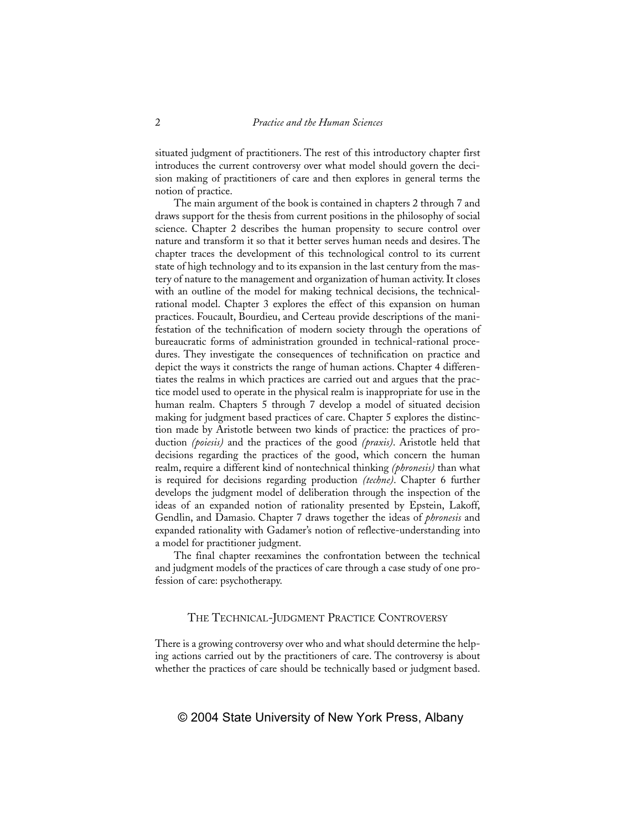situated judgment of practitioners. The rest of this introductory chapter first introduces the current controversy over what model should govern the decision making of practitioners of care and then explores in general terms the notion of practice.

The main argument of the book is contained in chapters 2 through 7 and draws support for the thesis from current positions in the philosophy of social science. Chapter 2 describes the human propensity to secure control over nature and transform it so that it better serves human needs and desires. The chapter traces the development of this technological control to its current state of high technology and to its expansion in the last century from the mastery of nature to the management and organization of human activity. It closes with an outline of the model for making technical decisions, the technicalrational model. Chapter 3 explores the effect of this expansion on human practices. Foucault, Bourdieu, and Certeau provide descriptions of the manifestation of the technification of modern society through the operations of bureaucratic forms of administration grounded in technical-rational procedures. They investigate the consequences of technification on practice and depict the ways it constricts the range of human actions. Chapter 4 differentiates the realms in which practices are carried out and argues that the practice model used to operate in the physical realm is inappropriate for use in the human realm. Chapters 5 through 7 develop a model of situated decision making for judgment based practices of care. Chapter 5 explores the distinction made by Aristotle between two kinds of practice: the practices of production *(poiesis)* and the practices of the good *(praxis)*. Aristotle held that decisions regarding the practices of the good, which concern the human realm, require a different kind of nontechnical thinking *(phronesis)* than what is required for decisions regarding production *(techne)*. Chapter 6 further develops the judgment model of deliberation through the inspection of the ideas of an expanded notion of rationality presented by Epstein, Lakoff, Gendlin, and Damasio. Chapter 7 draws together the ideas of *phronesis* and expanded rationality with Gadamer's notion of reflective-understanding into a model for practitioner judgment.

The final chapter reexamines the confrontation between the technical and judgment models of the practices of care through a case study of one profession of care: psychotherapy.

#### THE TECHNICAL-JUDGMENT PRACTICE CONTROVERSY

There is a growing controversy over who and what should determine the helping actions carried out by the practitioners of care. The controversy is about whether the practices of care should be technically based or judgment based.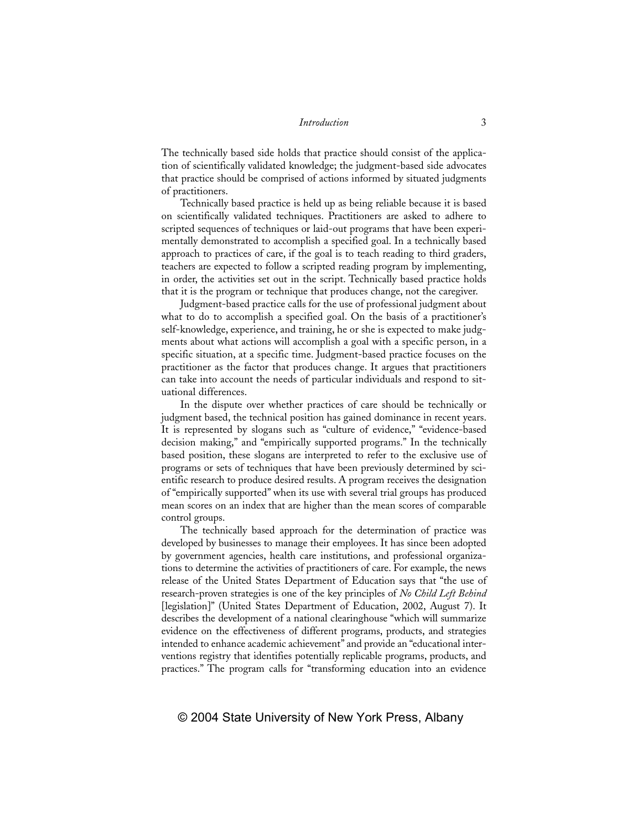#### *Introduction* 3

The technically based side holds that practice should consist of the application of scientifically validated knowledge; the judgment-based side advocates that practice should be comprised of actions informed by situated judgments of practitioners.

Technically based practice is held up as being reliable because it is based on scientifically validated techniques. Practitioners are asked to adhere to scripted sequences of techniques or laid-out programs that have been experimentally demonstrated to accomplish a specified goal. In a technically based approach to practices of care, if the goal is to teach reading to third graders, teachers are expected to follow a scripted reading program by implementing, in order, the activities set out in the script. Technically based practice holds that it is the program or technique that produces change, not the caregiver.

Judgment-based practice calls for the use of professional judgment about what to do to accomplish a specified goal. On the basis of a practitioner's self-knowledge, experience, and training, he or she is expected to make judgments about what actions will accomplish a goal with a specific person, in a specific situation, at a specific time. Judgment-based practice focuses on the practitioner as the factor that produces change. It argues that practitioners can take into account the needs of particular individuals and respond to situational differences.

In the dispute over whether practices of care should be technically or judgment based, the technical position has gained dominance in recent years. It is represented by slogans such as "culture of evidence," "evidence-based decision making," and "empirically supported programs." In the technically based position, these slogans are interpreted to refer to the exclusive use of programs or sets of techniques that have been previously determined by scientific research to produce desired results. A program receives the designation of "empirically supported" when its use with several trial groups has produced mean scores on an index that are higher than the mean scores of comparable control groups.

The technically based approach for the determination of practice was developed by businesses to manage their employees. It has since been adopted by government agencies, health care institutions, and professional organizations to determine the activities of practitioners of care. For example, the news release of the United States Department of Education says that "the use of research-proven strategies is one of the key principles of *No Child Left Behind* [legislation]" (United States Department of Education, 2002, August 7). It describes the development of a national clearinghouse "which will summarize evidence on the effectiveness of different programs, products, and strategies intended to enhance academic achievement" and provide an "educational interventions registry that identifies potentially replicable programs, products, and practices." The program calls for "transforming education into an evidence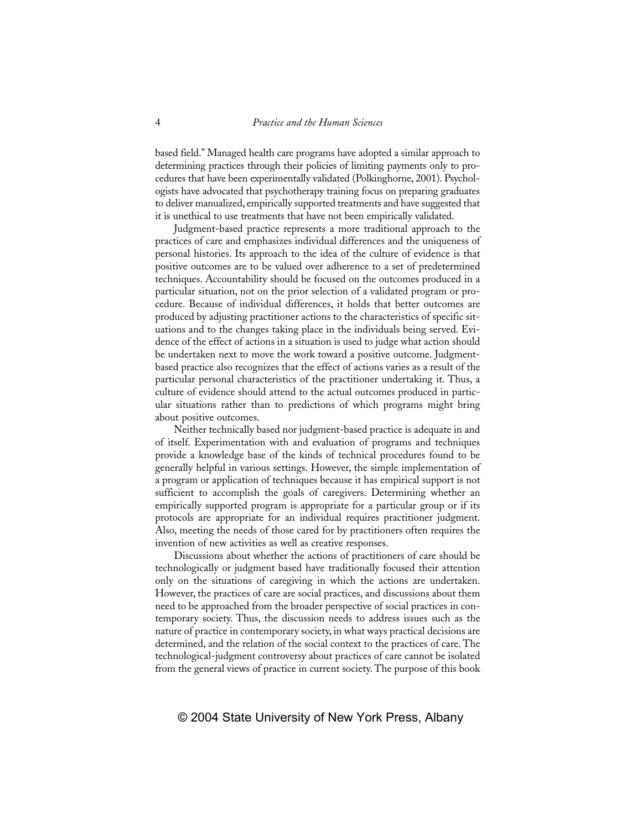based field." Managed health care programs have adopted a similar approach to determining practices through their policies of limiting payments only to procedures that have been experimentally validated (Polkinghorne, 2001). Psychologists have advocated that psychotherapy training focus on preparing graduates to deliver manualized, empirically supported treatments and have suggested that it is unethical to use treatments that have not been empirically validated.

Judgment-based practice represents a more traditional approach to the practices of care and emphasizes individual differences and the uniqueness of personal histories. Its approach to the idea of the culture of evidence is that positive outcomes are to be valued over adherence to a set of predetermined techniques. Accountability should be focused on the outcomes produced in a particular situation, not on the prior selection of a validated program or procedure. Because of individual differences, it holds that better outcomes are produced by adjusting practitioner actions to the characteristics of specific situations and to the changes taking place in the individuals being served. Evidence of the effect of actions in a situation is used to judge what action should be undertaken next to move the work toward a positive outcome. Judgmentbased practice also recognizes that the effect of actions varies as a result of the particular personal characteristics of the practitioner undertaking it. Thus, a culture of evidence should attend to the actual outcomes produced in particular situations rather than to predictions of which programs might bring about positive outcomes.

Neither technically based nor judgment-based practice is adequate in and of itself. Experimentation with and evaluation of programs and techniques provide a knowledge base of the kinds of technical procedures found to be generally helpful in various settings. However, the simple implementation of a program or application of techniques because it has empirical support is not sufficient to accomplish the goals of caregivers. Determining whether an empirically supported program is appropriate for a particular group or if its protocols are appropriate for an individual requires practitioner judgment. Also, meeting the needs of those cared for by practitioners often requires the invention of new activities as well as creative responses.

Discussions about whether the actions of practitioners of care should be technologically or judgment based have traditionally focused their attention only on the situations of caregiving in which the actions are undertaken. However, the practices of care are social practices, and discussions about them need to be approached from the broader perspective of social practices in contemporary society. Thus, the discussion needs to address issues such as the nature of practice in contemporary society, in what ways practical decisions are determined, and the relation of the social context to the practices of care. The technological-judgment controversy about practices of care cannot be isolated from the general views of practice in current society. The purpose of this book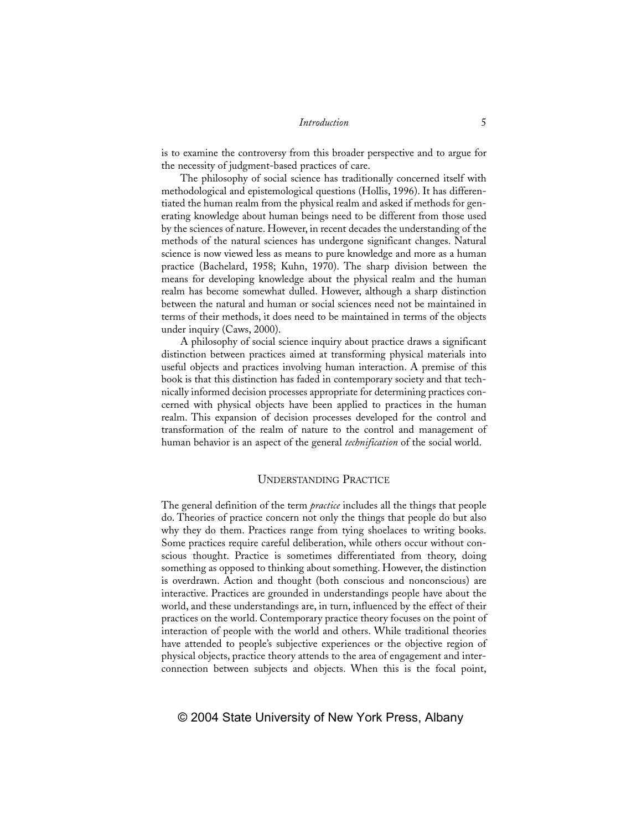is to examine the controversy from this broader perspective and to argue for the necessity of judgment-based practices of care.

The philosophy of social science has traditionally concerned itself with methodological and epistemological questions (Hollis, 1996). It has differentiated the human realm from the physical realm and asked if methods for generating knowledge about human beings need to be different from those used by the sciences of nature. However, in recent decades the understanding of the methods of the natural sciences has undergone significant changes. Natural science is now viewed less as means to pure knowledge and more as a human practice (Bachelard, 1958; Kuhn, 1970). The sharp division between the means for developing knowledge about the physical realm and the human realm has become somewhat dulled. However, although a sharp distinction between the natural and human or social sciences need not be maintained in terms of their methods, it does need to be maintained in terms of the objects under inquiry (Caws, 2000).

A philosophy of social science inquiry about practice draws a significant distinction between practices aimed at transforming physical materials into useful objects and practices involving human interaction. A premise of this book is that this distinction has faded in contemporary society and that technically informed decision processes appropriate for determining practices concerned with physical objects have been applied to practices in the human realm. This expansion of decision processes developed for the control and transformation of the realm of nature to the control and management of human behavior is an aspect of the general *technification* of the social world.

#### UNDERSTANDING PRACTICE

The general definition of the term *practice* includes all the things that people do. Theories of practice concern not only the things that people do but also why they do them. Practices range from tying shoelaces to writing books. Some practices require careful deliberation, while others occur without conscious thought. Practice is sometimes differentiated from theory, doing something as opposed to thinking about something. However, the distinction is overdrawn. Action and thought (both conscious and nonconscious) are interactive. Practices are grounded in understandings people have about the world, and these understandings are, in turn, influenced by the effect of their practices on the world. Contemporary practice theory focuses on the point of interaction of people with the world and others. While traditional theories have attended to people's subjective experiences or the objective region of physical objects, practice theory attends to the area of engagement and interconnection between subjects and objects. When this is the focal point,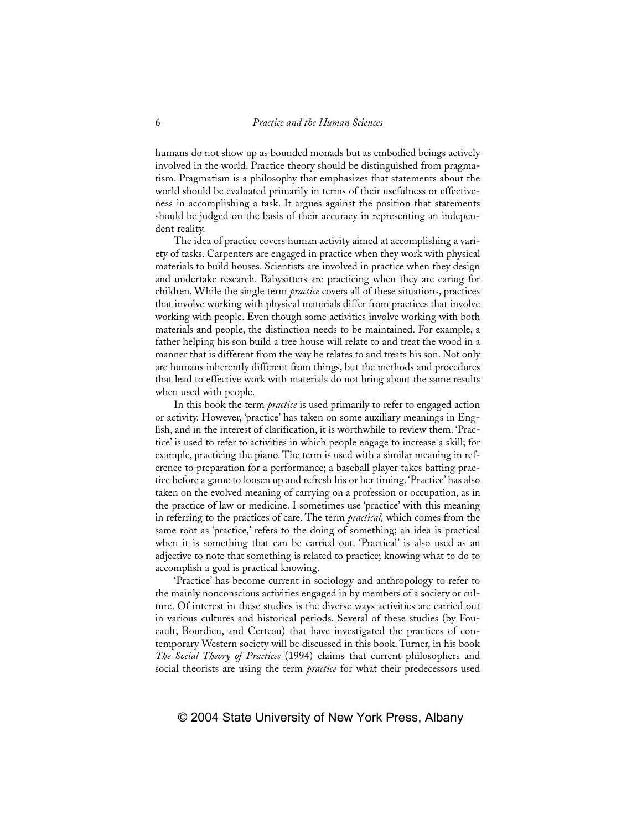humans do not show up as bounded monads but as embodied beings actively involved in the world. Practice theory should be distinguished from pragmatism. Pragmatism is a philosophy that emphasizes that statements about the world should be evaluated primarily in terms of their usefulness or effectiveness in accomplishing a task. It argues against the position that statements should be judged on the basis of their accuracy in representing an independent reality.

The idea of practice covers human activity aimed at accomplishing a variety of tasks. Carpenters are engaged in practice when they work with physical materials to build houses. Scientists are involved in practice when they design and undertake research. Babysitters are practicing when they are caring for children. While the single term *practice* covers all of these situations, practices that involve working with physical materials differ from practices that involve working with people. Even though some activities involve working with both materials and people, the distinction needs to be maintained. For example, a father helping his son build a tree house will relate to and treat the wood in a manner that is different from the way he relates to and treats his son. Not only are humans inherently different from things, but the methods and procedures that lead to effective work with materials do not bring about the same results when used with people.

In this book the term *practice* is used primarily to refer to engaged action or activity. However, 'practice' has taken on some auxiliary meanings in English, and in the interest of clarification, it is worthwhile to review them. 'Practice' is used to refer to activities in which people engage to increase a skill; for example, practicing the piano. The term is used with a similar meaning in reference to preparation for a performance; a baseball player takes batting practice before a game to loosen up and refresh his or her timing. 'Practice' has also taken on the evolved meaning of carrying on a profession or occupation, as in the practice of law or medicine. I sometimes use 'practice' with this meaning in referring to the practices of care. The term *practical,* which comes from the same root as 'practice,' refers to the doing of something; an idea is practical when it is something that can be carried out. 'Practical' is also used as an adjective to note that something is related to practice; knowing what to do to accomplish a goal is practical knowing.

'Practice' has become current in sociology and anthropology to refer to the mainly nonconscious activities engaged in by members of a society or culture. Of interest in these studies is the diverse ways activities are carried out in various cultures and historical periods. Several of these studies (by Foucault, Bourdieu, and Certeau) that have investigated the practices of contemporary Western society will be discussed in this book. Turner, in his book *The Social Theory of Practices* (1994) claims that current philosophers and social theorists are using the term *practice* for what their predecessors used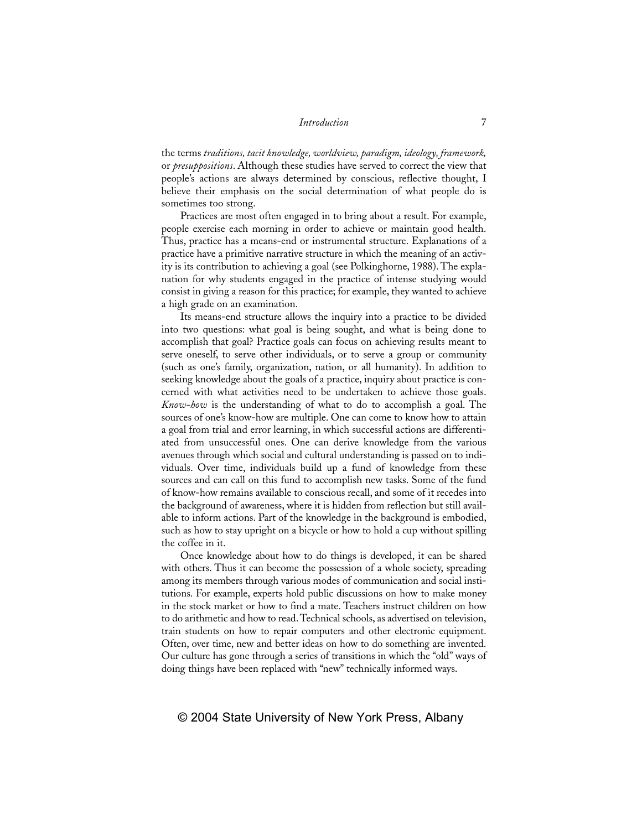#### *Introduction* 7

the terms *traditions, tacit knowledge, worldview, paradigm, ideology, framework,* or *presuppositions*. Although these studies have served to correct the view that people's actions are always determined by conscious, reflective thought, I believe their emphasis on the social determination of what people do is sometimes too strong.

Practices are most often engaged in to bring about a result. For example, people exercise each morning in order to achieve or maintain good health. Thus, practice has a means-end or instrumental structure. Explanations of a practice have a primitive narrative structure in which the meaning of an activity is its contribution to achieving a goal (see Polkinghorne, 1988). The explanation for why students engaged in the practice of intense studying would consist in giving a reason for this practice; for example, they wanted to achieve a high grade on an examination.

Its means-end structure allows the inquiry into a practice to be divided into two questions: what goal is being sought, and what is being done to accomplish that goal? Practice goals can focus on achieving results meant to serve oneself, to serve other individuals, or to serve a group or community (such as one's family, organization, nation, or all humanity). In addition to seeking knowledge about the goals of a practice, inquiry about practice is concerned with what activities need to be undertaken to achieve those goals. *Know-how* is the understanding of what to do to accomplish a goal. The sources of one's know-how are multiple. One can come to know how to attain a goal from trial and error learning, in which successful actions are differentiated from unsuccessful ones. One can derive knowledge from the various avenues through which social and cultural understanding is passed on to individuals. Over time, individuals build up a fund of knowledge from these sources and can call on this fund to accomplish new tasks. Some of the fund of know-how remains available to conscious recall, and some of it recedes into the background of awareness, where it is hidden from reflection but still available to inform actions. Part of the knowledge in the background is embodied, such as how to stay upright on a bicycle or how to hold a cup without spilling the coffee in it.

Once knowledge about how to do things is developed, it can be shared with others. Thus it can become the possession of a whole society, spreading among its members through various modes of communication and social institutions. For example, experts hold public discussions on how to make money in the stock market or how to find a mate. Teachers instruct children on how to do arithmetic and how to read.Technical schools, as advertised on television, train students on how to repair computers and other electronic equipment. Often, over time, new and better ideas on how to do something are invented. Our culture has gone through a series of transitions in which the "old" ways of doing things have been replaced with "new" technically informed ways.